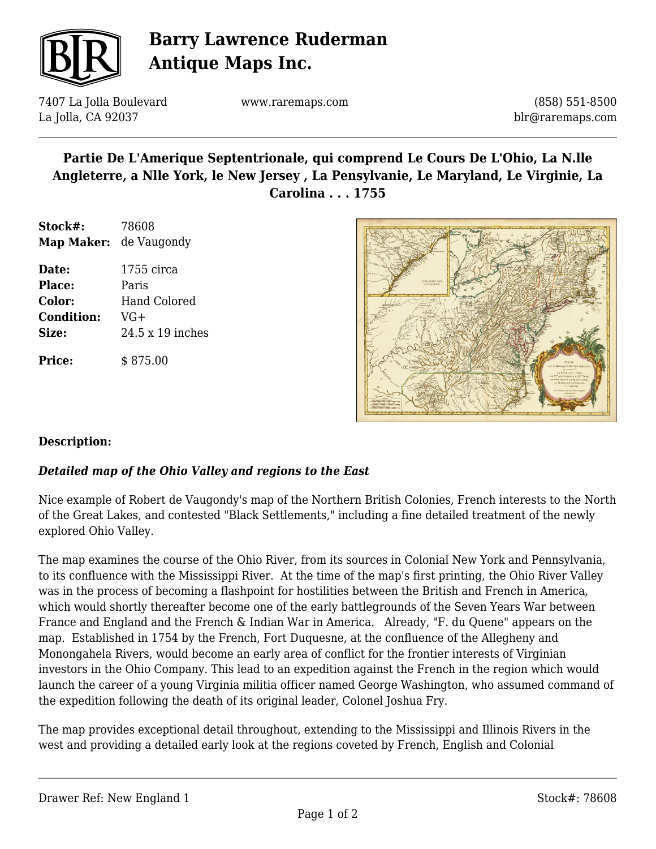

# **Barry Lawrence Ruderman Antique Maps Inc.**

7407 La Jolla Boulevard La Jolla, CA 92037

www.raremaps.com

(858) 551-8500 blr@raremaps.com

## **Partie De L'Amerique Septentrionale, qui comprend Le Cours De L'Ohio, La N.lle Angleterre, a Nlle York, le New Jersey , La Pensylvanie, Le Maryland, Le Virginie, La Carolina . . . 1755**

- **Stock#:** 78608 **Map Maker:** de Vaugondy
- **Date:** 1755 circa **Place:** Paris **Color:** Hand Colored **Condition:** VG+ **Size:** 24.5 x 19 inches

**Price:**  $\qquad$  \$ 875.00



#### **Description:**

#### *Detailed map of the Ohio Valley and regions to the East*

Nice example of Robert de Vaugondy's map of the Northern British Colonies, French interests to the North of the Great Lakes, and contested "Black Settlements," including a fine detailed treatment of the newly explored Ohio Valley.

The map examines the course of the Ohio River, from its sources in Colonial New York and Pennsylvania, to its confluence with the Mississippi River. At the time of the map's first printing, the Ohio River Valley was in the process of becoming a flashpoint for hostilities between the British and French in America, which would shortly thereafter become one of the early battlegrounds of the Seven Years War between France and England and the French & Indian War in America. Already, "F. du Quene" appears on the map. Established in 1754 by the French, Fort Duquesne, at the confluence of the Allegheny and Monongahela Rivers, would become an early area of conflict for the frontier interests of Virginian investors in the Ohio Company. This lead to an expedition against the French in the region which would launch the career of a young Virginia militia officer named George Washington, who assumed command of the expedition following the death of its original leader, Colonel Joshua Fry.

The map provides exceptional detail throughout, extending to the Mississippi and Illinois Rivers in the west and providing a detailed early look at the regions coveted by French, English and Colonial